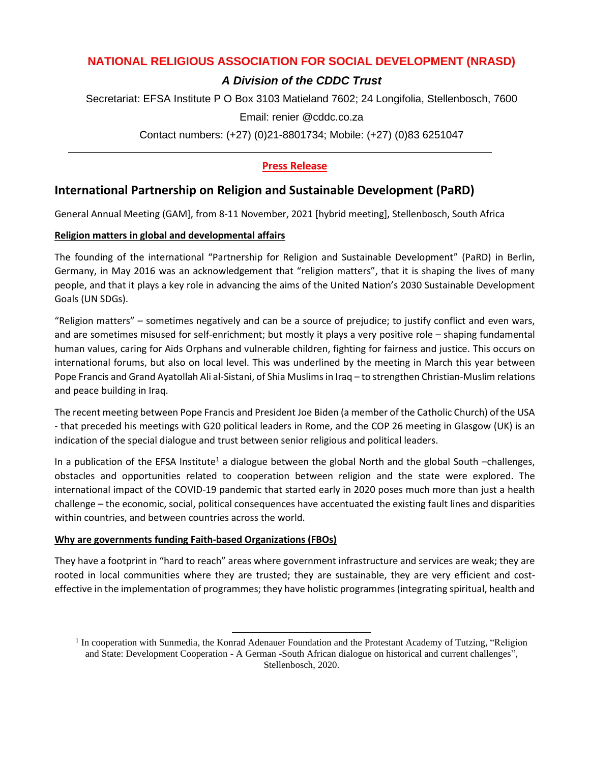# **NATIONAL RELIGIOUS ASSOCIATION FOR SOCIAL DEVELOPMENT (NRASD)**

# *A Division of the CDDC Trust*

Secretariat: EFSA Institute P O Box 3103 Matieland 7602; 24 Longifolia, Stellenbosch, 7600

Email: renier @cddc.co.za

Contact numbers: (+27) (0)21-8801734; Mobile: (+27) (0)83 6251047

# **Press Release**

# **International Partnership on Religion and Sustainable Development (PaRD)**

General Annual Meeting (GAM], from 8-11 November, 2021 [hybrid meeting], Stellenbosch, South Africa

## **Religion matters in global and developmental affairs**

The founding of the international "Partnership for Religion and Sustainable Development" (PaRD) in Berlin, Germany, in May 2016 was an acknowledgement that "religion matters", that it is shaping the lives of many people, and that it plays a key role in advancing the aims of the United Nation's 2030 Sustainable Development Goals (UN SDGs).

"Religion matters" – sometimes negatively and can be a source of prejudice; to justify conflict and even wars, and are sometimes misused for self-enrichment; but mostly it plays a very positive role – shaping fundamental human values, caring for Aids Orphans and vulnerable children, fighting for fairness and justice. This occurs on international forums, but also on local level. This was underlined by the meeting in March this year between Pope Francis and Grand Ayatollah Ali al-Sistani, of Shia Muslims in Iraq - to strengthen Christian-Muslim relations and peace building in Iraq.

The recent meeting between Pope Francis and President Joe Biden (a member of the Catholic Church) of the USA - that preceded his meetings with G20 political leaders in Rome, and the COP 26 meeting in Glasgow (UK) is an indication of the special dialogue and trust between senior religious and political leaders.

In a publication of the EFSA Institute<sup>1</sup> a dialogue between the global North and the global South –challenges, obstacles and opportunities related to cooperation between religion and the state were explored. The international impact of the COVID-19 pandemic that started early in 2020 poses much more than just a health challenge – the economic, social, political consequences have accentuated the existing fault lines and disparities within countries, and between countries across the world.

## **Why are governments funding Faith-based Organizations (FBOs)**

They have a footprint in "hard to reach" areas where government infrastructure and services are weak; they are rooted in local communities where they are trusted; they are sustainable, they are very efficient and costeffective in the implementation of programmes; they have holistic programmes (integrating spiritual, health and

<sup>&</sup>lt;sup>1</sup> In cooperation with Sunmedia, the Konrad Adenauer Foundation and the Protestant Academy of Tutzing, "Religion and State: Development Cooperation - A German -South African dialogue on historical and current challenges", Stellenbosch, 2020.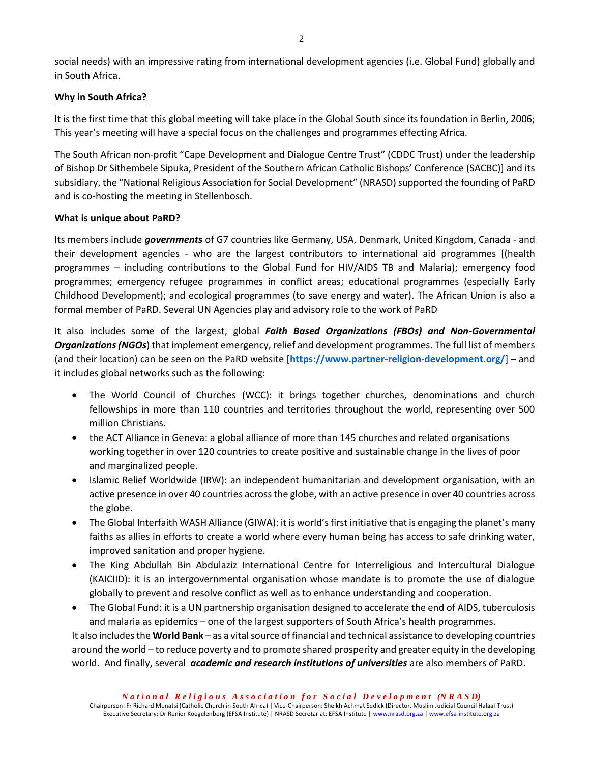social needs) with an impressive rating from international development agencies (i.e. Global Fund) globally and in South Africa.

### **Why in South Africa?**

It is the first time that this global meeting will take place in the Global South since its foundation in Berlin, 2006; This year's meeting will have a special focus on the challenges and programmes effecting Africa.

The South African non-profit "Cape Development and Dialogue Centre Trust" (CDDC Trust) under the leadership of Bishop Dr Sithembele Sipuka, President of the Southern African Catholic Bishops' Conference (SACBC)] and its subsidiary, the "National Religious Association for Social Development" (NRASD) supported the founding of PaRD and is co-hosting the meeting in Stellenbosch.

#### **What is unique about PaRD?**

Its members include *governments* of G7 countries like Germany, USA, Denmark, United Kingdom, Canada - and their development agencies - who are the largest contributors to international aid programmes [(health programmes – including contributions to the Global Fund for HIV/AIDS TB and Malaria); emergency food programmes; emergency refugee programmes in conflict areas; educational programmes (especially Early Childhood Development); and ecological programmes (to save energy and water). The African Union is also a formal member of PaRD. Several UN Agencies play and advisory role to the work of PaRD

It also includes some of the largest, global *Faith Based Organizations (FBOs) and Non-Governmental Organizations (NGOs*) that implement emergency, relief and development programmes. The full list of members (and their location) can be seen on the PaRD website [**<https://www.partner-religion-development.org/>**] – and it includes global networks such as the following:

- The World Council of Churches (WCC): it brings together churches, denominations and church fellowships in more than 110 countries and territories throughout the world, representing over 500 million Christians.
- the ACT Alliance in Geneva: a global alliance of more than 145 churches and related organisations working together in over 120 countries to create positive and sustainable change in the lives of poor and marginalized people.
- Islamic Relief Worldwide (IRW): an independent humanitarian and development organisation, with an active presence in over 40 countries across the globe, with an active presence in over 40 countries across the globe.
- The Global Interfaith WASH Alliance (GIWA): it is world's first initiative that is engaging the planet's many faiths as allies in efforts to create a world where every human being has access to safe drinking water, improved sanitation and proper hygiene.
- The King Abdullah Bin Abdulaziz International Centre for Interreligious and Intercultural Dialogue (KAICIID): it is an intergovernmental organisation whose mandate is to promote the use of dialogue globally to prevent and resolve conflict as well as to enhance understanding and cooperation.
- The Global Fund: it is a UN partnership organisation designed to accelerate the end of AIDS, tuberculosis and malaria as epidemics – one of the largest supporters of South Africa's health programmes.

It also includes the **World Bank** – as a vital source of financial and technical assistance to developing countries around the world – to reduce poverty and to promote shared prosperity and greater equity in the developing world. And finally, several *academic and research institutions of universities* are also members of PaRD.